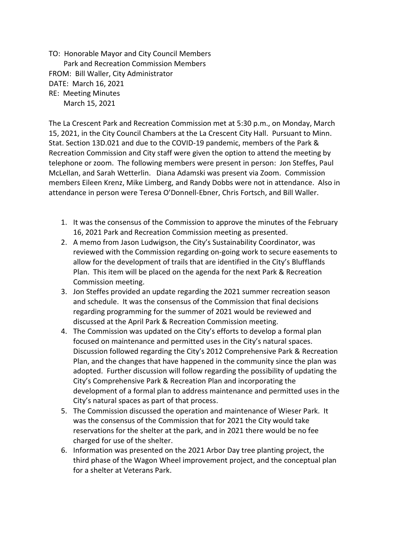TO: Honorable Mayor and City Council Members Park and Recreation Commission Members FROM: Bill Waller, City Administrator DATE: March 16, 2021 RE: Meeting Minutes March 15, 2021

The La Crescent Park and Recreation Commission met at 5:30 p.m., on Monday, March 15, 2021, in the City Council Chambers at the La Crescent City Hall. Pursuant to Minn. Stat. Section 13D.021 and due to the COVID-19 pandemic, members of the Park & Recreation Commission and City staff were given the option to attend the meeting by telephone or zoom. The following members were present in person: Jon Steffes, Paul McLellan, and Sarah Wetterlin. Diana Adamski was present via Zoom. Commission members Eileen Krenz, Mike Limberg, and Randy Dobbs were not in attendance. Also in attendance in person were Teresa O'Donnell-Ebner, Chris Fortsch, and Bill Waller.

- 1. It was the consensus of the Commission to approve the minutes of the February 16, 2021 Park and Recreation Commission meeting as presented.
- 2. A memo from Jason Ludwigson, the City's Sustainability Coordinator, was reviewed with the Commission regarding on-going work to secure easements to allow for the development of trails that are identified in the City's Blufflands Plan. This item will be placed on the agenda for the next Park & Recreation Commission meeting.
- 3. Jon Steffes provided an update regarding the 2021 summer recreation season and schedule. It was the consensus of the Commission that final decisions regarding programming for the summer of 2021 would be reviewed and discussed at the April Park & Recreation Commission meeting.
- 4. The Commission was updated on the City's efforts to develop a formal plan focused on maintenance and permitted uses in the City's natural spaces. Discussion followed regarding the City's 2012 Comprehensive Park & Recreation Plan, and the changes that have happened in the community since the plan was adopted. Further discussion will follow regarding the possibility of updating the City's Comprehensive Park & Recreation Plan and incorporating the development of a formal plan to address maintenance and permitted uses in the City's natural spaces as part of that process.
- 5. The Commission discussed the operation and maintenance of Wieser Park. It was the consensus of the Commission that for 2021 the City would take reservations for the shelter at the park, and in 2021 there would be no fee charged for use of the shelter.
- 6. Information was presented on the 2021 Arbor Day tree planting project, the third phase of the Wagon Wheel improvement project, and the conceptual plan for a shelter at Veterans Park.